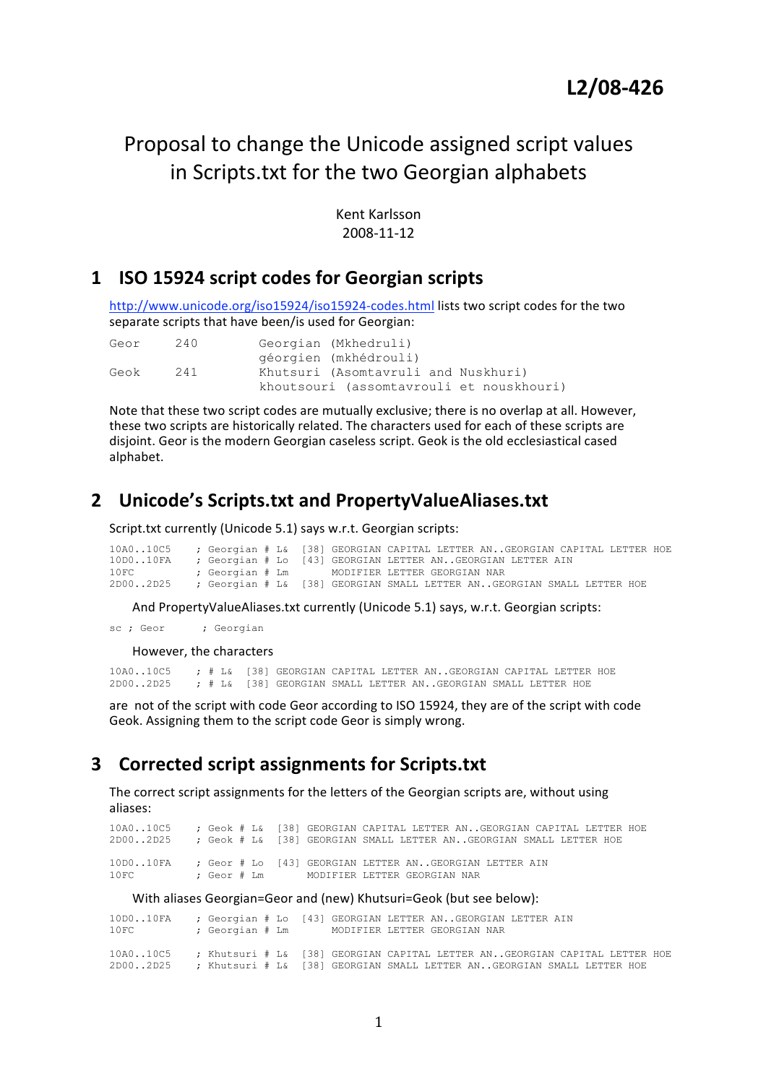# Proposal
to
change
the
Unicode
assigned
script
values in
Scripts.txt
for
the
two
Georgian
alphabets

Kent
Karlsson 2008‐11‐12

## **1 ISO
15924
script
codes
for
Georgian
scripts**

http://www.unicode.org/iso15924/iso15924-codes.html lists two script codes for the two separate
scripts
that
have
been/is
used
for
Georgian:

| Geor | 240 | Georgian (Mkhedruli)                     |  |
|------|-----|------------------------------------------|--|
|      |     | géorgien (mkhédrouli)                    |  |
| Geok | 241 | Khutsuri (Asomtavruli and Nuskhuri)      |  |
|      |     | khoutsouri (assomtavrouli et nouskhouri) |  |

Note that these two script codes are mutually exclusive; there is no overlap at all. However, these
two
scripts
are
historically
related.
The
characters
used
for
each
of
these
scripts
are disjoint. Geor is the modern Georgian caseless script. Geok is the old ecclesiastical cased alphabet.

## **2 Unicode's
Scripts.txt
and
PropertyValueAliases.txt**

Script.txt currently (Unicode 5.1) says w.r.t. Georgian scripts:

| 10A010C5 ; Georgian # L& [38] GEORGIAN CAPITAL LETTER ANGEORGIAN CAPITAL LETTER HOE |                                              |  |  |  |  |  |  |
|-------------------------------------------------------------------------------------|----------------------------------------------|--|--|--|--|--|--|
| 10D010FA ; Georgian # Lo [43] GEORGIAN LETTER ANGEORGIAN LETTER AIN                 |                                              |  |  |  |  |  |  |
| 10FC                                                                                | : Georgian # Lm MODIFIER LETTER GEORGIAN NAR |  |  |  |  |  |  |
| 2D002D25 ; Georgian # L& [38] GEORGIAN SMALL LETTER ANGEORGIAN SMALL LETTER HOE     |                                              |  |  |  |  |  |  |

And
PropertyValueAliases.txt currently
(Unicode
5.1)
says,
w.r.t.
Georgian
scripts:

sc ; Geor ; Georgian

However,
the
characters

10A0..10C5 ;  $\neq$  1& [38] GEORGIAN CAPITAL LETTER AN..GEORGIAN CAPITAL LETTER HOE<br>2000..2025 :  $\neq$  1381 GEORGIAN SMALL LETTER AN..GEORGIAN SMALL LETTER HOE : # L& [38] GEORGIAN SMALL LETTER AN..GEORGIAN SMALL LETTER HOE

are not of the script with code Geor according to ISO 15924, they are of the script with code Geok. Assigning them to the script code Geor is simply wrong.

### **3 Corrected
script
assignments
for
Scripts.txt**

The correct script assignments for the letters of the Georgian scripts are, without using aliases:

10A0..10C5 ; Geok # L& [38] GEORGIAN CAPITAL LETTER AN..GEORGIAN CAPITAL LETTER HOE 2D00..2D25 ; Geok # L& [38] GEORGIAN SMALL LETTER AN..GEORGIAN SMALL LETTER HOE 10D0..10FA ; Geor # Lo [43] GEORGIAN LETTER AN..GEORGIAN LETTER AIN 10FC ; Geor # Lm MODIFIER LETTER GEORGIAN NAR

With
aliases
Georgian=Geor
and
(new)
Khutsuri=Geok
(but
see
below):

| 10D010FA<br>10FC                                                                                                                                                              |  |  |  | ; Georgian # Lo [43] GEORGIAN LETTER ANGEORGIAN LETTER AIN<br>; Georgian # Lm MODIFIER LETTER GEORGIAN NAR |  |  |
|-------------------------------------------------------------------------------------------------------------------------------------------------------------------------------|--|--|--|------------------------------------------------------------------------------------------------------------|--|--|
| 10A010C5    ; Khutsuri # L& [38] GEORGIAN CAPITAL LETTER ANGEORGIAN CAPITAL LETTER HOE<br>2D002D25     ; Khutsuri # L& [38] GEORGIAN SMALL LETTER ANGEORGIAN SMALL LETTER HOE |  |  |  |                                                                                                            |  |  |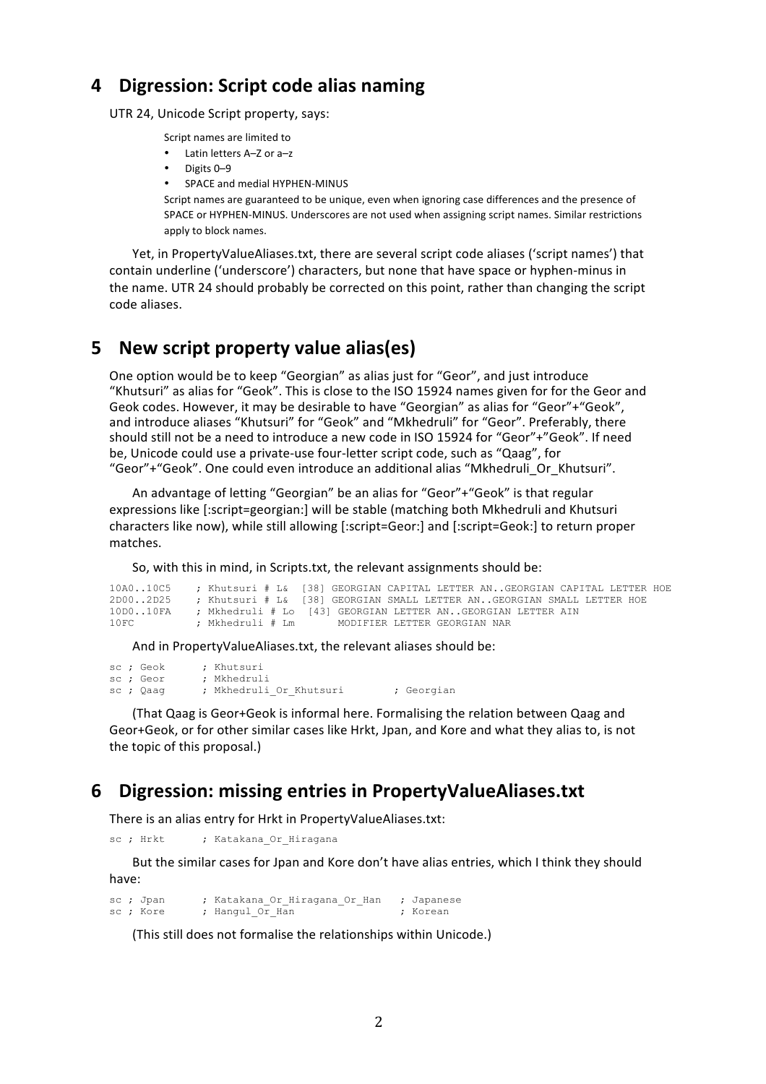## **4 Digression:
Script
code
alias
naming**

UTR
24,
Unicode
Script
property,
says:

Script
names
are
limited
to

- Latin letters A-Z or a-z
- Digits
0–9
- SPACE and medial HYPHEN-MINUS

Script names are guaranteed to be unique, even when ignoring case differences and the presence of SPACE or HYPHEN-MINUS. Underscores are not used when assigning script names. Similar restrictions apply
to
block
names.

Yet, in PropertyValueAliases.txt, there are several script code aliases ('script names') that contain underline ('underscore') characters, but none that have space or hyphen-minus in the name. UTR 24 should probably be corrected on this point, rather than changing the script code
aliases.

### **5 New
script
property
value
alias(es)**

One option would be to keep "Georgian" as alias just for "Geor", and just introduce "Khutsuri" as alias for "Geok". This is close to the ISO 15924 names given for for the Geor and Geok codes. However, it may be desirable to have "Georgian" as alias for "Geor"+"Geok", and introduce aliases "Khutsuri" for "Geok" and "Mkhedruli" for "Geor". Preferably, there should still not be a need to introduce a new code in ISO 15924 for "Geor"+"Geok". If need be, Unicode could use a private-use four-letter script code, such as "Qaag", for "Geor"+"Geok". One could even introduce an additional alias "Mkhedruli\_Or\_Khutsuri".

An advantage of letting "Georgian" be an alias for "Geor"+ "Geok" is that regular expressions like [:script=georgian:] will be stable (matching both Mkhedruli and Khutsuri characters like now), while still allowing [:script=Geor:] and [:script=Geok:] to return proper matches.

So,
with
this
in
mind,
in
Scripts.txt,
the
relevant
assignments
should
be:

|      |                  | 10A010C5 ; Khutsuri # L& [38] GEORGIAN CAPITAL LETTER ANGEORGIAN CAPITAL LETTER HOE |  |
|------|------------------|-------------------------------------------------------------------------------------|--|
|      |                  | 2D002D25 ; Khutsuri # L& [38] GEORGIAN SMALL LETTER ANGEORGIAN SMALL LETTER HOE     |  |
|      |                  | 10D010FA      ; Mkhedruli # Lo [43] GEORGIAN LETTER ANGEORGIAN LETTER AIN           |  |
| 10FC | : Mkhedruli # Lm | MODIFIER LETTER GEORGIAN NAR                                                        |  |

And
in
PropertyValueAliases.txt,
the
relevant
aliases
should
be:

sc ; Geok ; Khutsuri sc ; Geor ; Mkhedruli sc ; Qaaq ; Mkhedruli Or Khutsuri ; Georgian

(That
Qaag
is
Geor+Geok
is
informal
here.
Formalising
the
relation
between
Qaag
and Geor+Geok, or for other similar cases like Hrkt, Jpan, and Kore and what they alias to, is not the
topic
of
this
proposal.)

#### **6 Digression:
missing
entries
in
PropertyValueAliases.txt**

There
is
an
alias
entry
for
Hrkt
in
PropertyValueAliases.txt:

sc ; Hrkt ; Katakana Or Hiragana

But the similar cases for Jpan and Kore don't have alias entries, which I think they should have:

sc ; Jpan ; Katakana\_Or\_Hiragana\_Or\_Han ; Japanese<br>sc : Kore ; Hangul Or Han ; Korean ; Hangul  $O\bar{r}$  Han

(This
still
does
not
formalise
the
relationships
within
Unicode.)